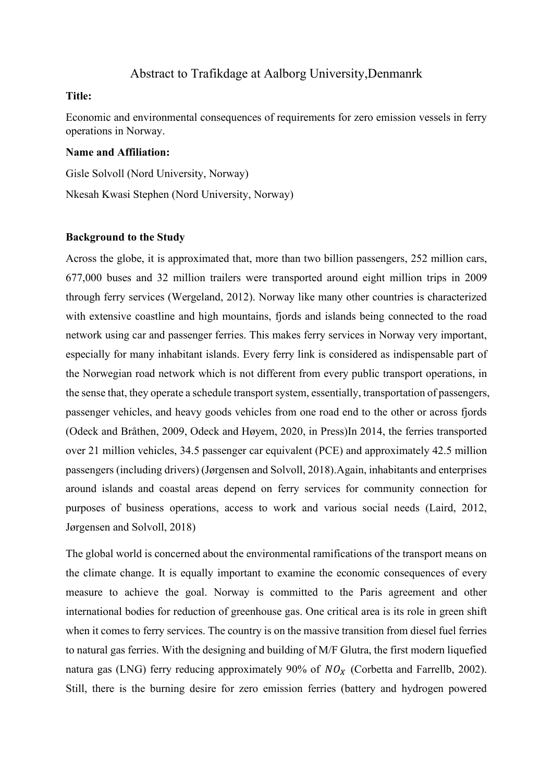# Abstract to Trafikdage at Aalborg University,Denmanrk

### **Title:**

Economic and environmental consequences of requirements for zero emission vessels in ferry operations in Norway.

## **Name and Affiliation:**

Gisle Solvoll (Nord University, Norway) Nkesah Kwasi Stephen (Nord University, Norway)

#### **Background to the Study**

Across the globe, it is approximated that, more than two billion passengers, 252 million cars, 677,000 buses and 32 million trailers were transported around eight million trips in 2009 through ferry services (Wergeland, 2012). Norway like many other countries is characterized with extensive coastline and high mountains, fjords and islands being connected to the road network using car and passenger ferries. This makes ferry services in Norway very important, especially for many inhabitant islands. Every ferry link is considered as indispensable part of the Norwegian road network which is not different from every public transport operations, in the sense that, they operate a schedule transport system, essentially, transportation of passengers, passenger vehicles, and heavy goods vehicles from one road end to the other or across fjords (Odeck and Bråthen, 2009, Odeck and Høyem, 2020, in Press)In 2014, the ferries transported over 21 million vehicles, 34.5 passenger car equivalent (PCE) and approximately 42.5 million passengers (including drivers) (Jørgensen and Solvoll, 2018).Again, inhabitants and enterprises around islands and coastal areas depend on ferry services for community connection for purposes of business operations, access to work and various social needs (Laird, 2012, Jørgensen and Solvoll, 2018)

The global world is concerned about the environmental ramifications of the transport means on the climate change. It is equally important to examine the economic consequences of every measure to achieve the goal. Norway is committed to the Paris agreement and other international bodies for reduction of greenhouse gas. One critical area is its role in green shift when it comes to ferry services. The country is on the massive transition from diesel fuel ferries to natural gas ferries. With the designing and building of M/F Glutra, the first modern liquefied natura gas (LNG) ferry reducing approximately 90% of  $NO<sub>x</sub>$  (Corbetta and Farrellb, 2002). Still, there is the burning desire for zero emission ferries (battery and hydrogen powered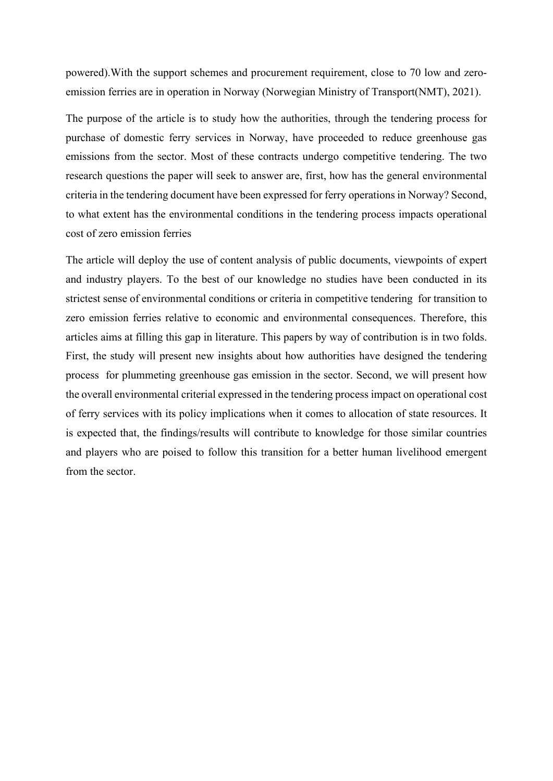powered).With the support schemes and procurement requirement, close to 70 low and zeroemission ferries are in operation in Norway (Norwegian Ministry of Transport(NMT), 2021).

The purpose of the article is to study how the authorities, through the tendering process for purchase of domestic ferry services in Norway, have proceeded to reduce greenhouse gas emissions from the sector. Most of these contracts undergo competitive tendering. The two research questions the paper will seek to answer are, first, how has the general environmental criteria in the tendering document have been expressed for ferry operations in Norway? Second, to what extent has the environmental conditions in the tendering process impacts operational cost of zero emission ferries

The article will deploy the use of content analysis of public documents, viewpoints of expert and industry players. To the best of our knowledge no studies have been conducted in its strictest sense of environmental conditions or criteria in competitive tendering for transition to zero emission ferries relative to economic and environmental consequences. Therefore, this articles aims at filling this gap in literature. This papers by way of contribution is in two folds. First, the study will present new insights about how authorities have designed the tendering process for plummeting greenhouse gas emission in the sector. Second, we will present how the overall environmental criterial expressed in the tendering process impact on operational cost of ferry services with its policy implications when it comes to allocation of state resources. It is expected that, the findings/results will contribute to knowledge for those similar countries and players who are poised to follow this transition for a better human livelihood emergent from the sector.